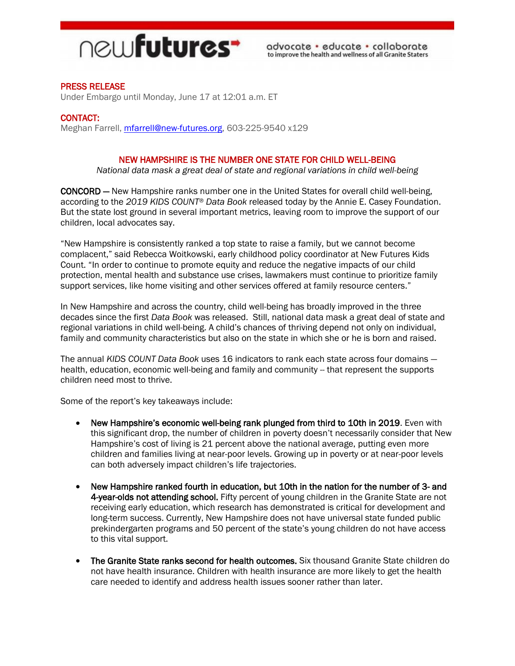

# PRESS RELEASE

Under Embargo until Monday, June 17 at 12:01 a.m. ET

### CONTACT:

Meghan Farrell, [mfarrell@new-futures.org,](mailto:mfarrell@new-futures.org) 603-225-9540 x129

### NEW HAMPSHIRE IS THE NUMBER ONE STATE FOR CHILD WELL-BEING

*National data mask a great deal of state and regional variations in child well-being*

CONCORD — New Hampshire ranks number one in the United States for overall child well-being, according to the *2019 KIDS COUNT® Data Book* released today by the Annie E. Casey Foundation. But the state lost ground in several important metrics, leaving room to improve the support of our children, local advocates say.

"New Hampshire is consistently ranked a top state to raise a family, but we cannot become complacent," said Rebecca Woitkowski, early childhood policy coordinator at New Futures Kids Count. "In order to continue to promote equity and reduce the negative impacts of our child protection, mental health and substance use crises, lawmakers must continue to prioritize family support services, like home visiting and other services offered at family resource centers."

In New Hampshire and across the country, child well-being has broadly improved in the three decades since the first *Data Book* was released. Still, national data mask a great deal of state and regional variations in child well-being. A child's chances of thriving depend not only on individual, family and community characteristics but also on the state in which she or he is born and raised.

The annual *KIDS COUNT Data Book* uses 16 indicators to rank each state across four domains health, education, economic well-being and family and community -- that represent the supports children need most to thrive.

Some of the report's key takeaways include:

- New Hampshire's economic well-being rank plunged from third to 10th in 2019. Even with this significant drop, the number of children in poverty doesn't necessarily consider that New Hampshire's cost of living is 21 percent above the national average, putting even more children and families living at near-poor levels. Growing up in poverty or at near-poor levels can both adversely impact children's life trajectories.
- New Hampshire ranked fourth in education, but 10th in the nation for the number of 3- and 4-year-olds not attending school. Fifty percent of young children in the Granite State are not receiving early education, which research has demonstrated is critical for development and long-term success. Currently, New Hampshire does not have universal state funded public prekindergarten programs and 50 percent of the state's young children do not have access to this vital support.
- The Granite State ranks second for health outcomes. Six thousand Granite State children do not have health insurance. Children with health insurance are more likely to get the health care needed to identify and address health issues sooner rather than later.